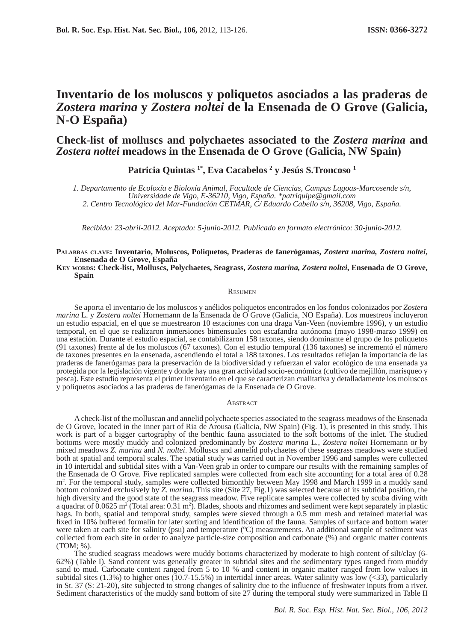# **Inventario de los moluscos y poliquetos asociados a las praderas de**  *Zostera marina* **y** *Zostera noltei* **de la Ensenada de O Grove (Galicia, N-O España)**

## **Check-list of molluscs and polychaetes associated to the** *Zostera marina* **and**  *Zostera noltei* **meadows in the Ensenada de O Grove (Galicia, NW Spain)**

**Patricia Quintas 1\*, Eva Cacabelos <sup>2</sup> y Jesús S.Troncoso 1**

*1. Departamento de Ecoloxía e Bioloxía Animal, Facultade de Ciencias, Campus Lagoas-Marcosende s/n, Universidade de Vigo, E-36210, Vigo, España. \*patriquipe@gmail.com 2. Centro Tecnológico del Mar-Fundación CETMAR, C/ Eduardo Cabello s/n, 36208, Vigo, España.*

*Recibido: 23-abril-2012. Aceptado: 5-junio-2012. Publicado en formato electrónico: 30-junio-2012.*

#### **PALABRAS CLAVE: Inventario, Moluscos, Poliquetos, Praderas de fanerógamas,** *Zostera marina, Zostera noltei***, Ensenada de O Grove, España**

**KEY WORDS: Check-list, Molluscs, Polychaetes, Seagrass,** *Zostera marina, Zostera noltei***, Ensenada de O Grove, Spain**

#### **RESUMEN**

Se aporta el inventario de los moluscos y anélidos poliquetos encontrados en los fondos colonizados por *Zostera marina* L*.* y *Zostera noltei* Hornemann de la Ensenada de O Grove (Galicia, NO España). Los muestreos incluyeron un estudio espacial, en el que se muestrearon 10 estaciones con una draga Van-Veen (noviembre 1996), y un estudio temporal, en el que se realizaron inmersiones bimensuales con escafandra autónoma (mayo 1998-marzo 1999) en una estación. Durante el estudio espacial, se contabilizaron 158 taxones, siendo dominante el grupo de los poliquetos (91 taxones) frente al de los moluscos (67 taxones). Con el estudio temporal (136 taxones) se incrementó el número de taxones presentes en la ensenada, ascendiendo el total a 188 taxones. Los resultados reflejan la importancia de las praderas de fanerógamas para la preservación de la biodiversidad y refuerzan el valor ecológico de una ensenada ya protegida por la legislación vigente y donde hay una gran actividad socio-económica (cultivo de mejillón, marisqueo y pesca). Este estudio representa el primer inventario en el que se caracterizan cualitativa y detalladamente los moluscos y poliquetos asociados a las praderas de fanerógamas de la Ensenada de O Grove.

#### **ABSTRACT**

A check-list of the molluscan and annelid polychaete species associated to the seagrass meadows of the Ensenada de O Grove, located in the inner part of Ria de Arousa (Galicia, NW Spain) (Fig. 1), is presented in this study. This work is part of a bigger cartography of the benthic fauna associated to the soft bottoms of the inlet. The studied bottoms were mostly muddy and colonized predominantly by *Zostera marina* L*.*, *Zostera noltei* Hornemann or by mixed meadows *Z. marina* and *N. noltei*. Molluscs and annelid polychaetes of these seagrass meadows were studied both at spatial and temporal scales. The spatial study was carried out in November 1996 and samples were collected in 10 intertidal and subtidal sites with a Van-Veen grab in order to compare our results with the remaining samples of the Ensenada de O Grove. Five replicated samples were collected from each site accounting for a total area of 0.28 m<sup>2</sup>. For the temporal study, samples were collected bimonthly between May 1998 and March 1999 in a muddy sand bottom colonized exclusively by *Z. marina*. This site (Site 27, Fig.1) was selected because of its subtidal position, the high diversity and the good state of the seagrass meadow. Five replicate samples were collected by scuba diving with a quadrat of  $0.0625 \text{ m}^2$  (Total area:  $0.31 \text{ m}^2$ ). Blades, shoots and rhizomes and sediment were kept separately in plastic bags. In both, spatial and temporal study, samples were sieved through a 0.5 mm mesh and retained material was fixed in 10% buffered formalin for later sorting and identification of the fauna. Samples of surface and bottom water were taken at each site for salinity (psu) and temperature (ºC) measurements. An additional sample of sediment was collected from each site in order to analyze particle-size composition and carbonate (%) and organic matter contents (TOM; %).

The studied seagrass meadows were muddy bottoms characterized by moderate to high content of silt/clay (6- 62%) (Table I). Sand content was generally greater in subtidal sites and the sedimentary types ranged from muddy sand to mud. Carbonate content ranged from 5 to 10 % and content in organic matter ranged from low values in subtidal sites (1.3%) to higher ones (10.7-15.5%) in intertidal inner areas. Water salinity was low  $(\langle 33 \rangle)$ , particularly in St. 37 (S: 21-20), site subjected to strong changes of salinity due to the influence of freshwater inputs from a river. Sediment characteristics of the muddy sand bottom of site 27 during the temporal study were summarized in Table II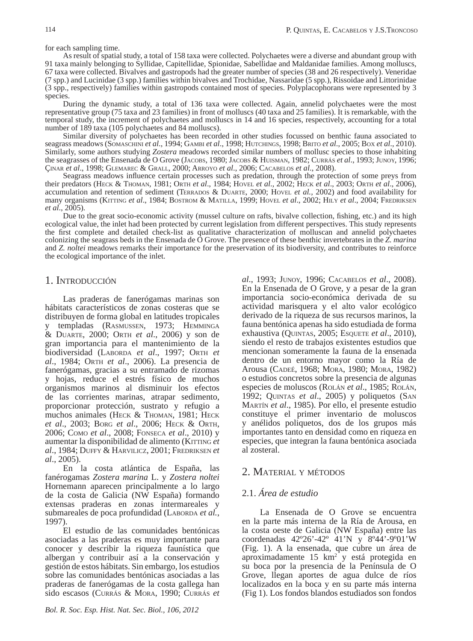for each sampling time.

As result of spatial study, a total of 158 taxa were collected. Polychaetes were a diverse and abundant group with 91 taxa mainly belonging to Syllidae, Capitellidae, Spionidae, Sabellidae and Maldanidae families. Among molluscs, 67 taxa were collected. Bivalves and gastropods had the greater number of species (38 and 26 respectively). Veneridae (7 spp.) and Lucinidae (3 spp.) families within bivalves and Trochidae, Nassaridae (5 spp.), Rissoidae and Littorinidae (3 spp., respectively) families within gastropods contained most of species. Polyplacophorans were represented by 3 species.

During the dynamic study, a total of 136 taxa were collected. Again, annelid polychaetes were the most representative group (75 taxa and 23 families) in front of molluscs (40 taxa and 25 families). It is remarkable, with the temporal study, the increment of polychaetes and molluscs in 14 and 16 species, respectively, accounting for a total number of 189 taxa (105 polychaetes and 84 molluscs).

Similar diversity of polychaetes has been recorded in other studies focussed on benthic fauna associated to seagrass meadows (SOMASCHINI *et al*., 1994; GAMBI *et al*., 1998; HUTCHINGS, 1998; BRITO *et al*., 2005; BOX *et al*., 2010). Similarly, some authors studying *Zostera* meadows recorded similar numbers of mollusc species to those inhabiting the seagrasses of the Ensenada de O Grove (JACOBS, 1980; JACOBS & HUISMAN, 1982; CURRÁS *et al*., 1993; JUNOY, 1996; ÇINAR *et al*., 1998; GLEMAREC & GRALL, 2000; ARROYO *et al*., 2006; CACABELOS *et al*., 2008).

Seagrass meadows influence certain processes such as predation, through the protection of some preys from their predators (HECK & THOMAN, 1981; ORTH *et al*., 1984; HOVEL *et al*., 2002; HECK *et al*., 2003; ORTH *et al*., 2006), accumulation and retention of sediment (TERRADOS & DUARTE, 2000; HOVEL *et al.,* 2002) and food availability for many organisms (KITTING *et al*., 1984; BOSTROM & MATILLA, 1999; HOVEL *et al*., 2002; HILY *et al*., 2004; FREDRIKSEN *et al*., 2005).

Due to the great socio-economic activity (mussel culture on rafts, bivalve collection, fishing, etc.) and its high ecological value, the inlet had been protected by current legislation from different perspectives. This study represents the first complete and detailed check-list as qualitative characterization of molluscan and annelid polychaetes colonizing the seagrass beds in the Ensenada de O Grove. The presence of these benthic invertebrates in the *Z. marina*  and *Z. noltei* meadows remarks their importance for the preservation of its biodiversity, and contributes to reinforce the ecological importance of the inlet.

## 1. INTRODUCCIÓN

Las praderas de fanerógamas marinas son hábitats característicos de zonas costeras que se distribuyen de forma global en latitudes tropicales y templadas (RASMUSSEN, 1973; HEMMINGA & DUARTE, 2000; ORTH *et al*., 2006) y son de gran importancia para el mantenimiento de la biodiversidad (LABORDA *et al*., 1997; ORTH *et al*., 1984; ORTH *et al*., 2006). La presencia de fanerógamas, gracias a su entramado de rizomas y hojas, reduce el estrés físico de muchos organismos marinos al disminuir los efectos de las corrientes marinas, atrapar sedimento, proporcionar protección, sustrato y refugio a muchos animales (HECK & THOMAN, 1981; HECK *et al*., 2003; BORG *et al*., 2006; HECK & ORTH, 2006; COMO *et al*., 2008; FONSECA *et al*., 2010) y aumentar la disponibilidad de alimento (KITTING *et al*., 1984; DUFFY & HARVILICZ, 2001; FREDRIKSEN *et al*., 2005).

En la costa atlántica de España, las fanérogamas *Zostera marina* L. y *Zostera noltei*  Hornemann aparecen principalmente a lo largo de la costa de Galicia (NW España) formando extensas praderas en zonas intermareales y submareales de poca profundidad (LABORDA *et al.*, 1997).

El estudio de las comunidades bentónicas asociadas a las praderas es muy importante para conocer y describir la riqueza faunística que albergan y contribuir así a la conservación y gestión de estos hábitats. Sin embargo, los estudios sobre las comunidades bentónicas asociadas a las praderas de fanerógamas de la costa gallega han sido escasos (CURRÁS & MORA, 1990; CURRÁS *et* 

*al*., 1993; JUNOY, 1996; CACABELOS *et al*., 2008). En la Ensenada de O Grove, y a pesar de la gran importancia socio-económica derivada de su actividad marisquera y el alto valor ecológico derivado de la riqueza de sus recursos marinos, la fauna bentónica apenas ha sido estudiada de forma exhaustiva (QUINTAS, 2005; ESQUETE *et al*., 2010), siendo el resto de trabajos existentes estudios que mencionan someramente la fauna de la ensenada dentro de un entorno mayor como la Ría de Arousa (CADEÉ, 1968; MORA, 1980; MORA, 1982) o estudios concretos sobre la presencia de algunas especies de moluscos (ROLÁN *et al*., 1985; ROLÁN, 1992; QUINTAS *et al*., 2005) y poliquetos (SAN MARTÍN *et al*., 1985). Por ello, el presente estudio constituye el primer inventario de moluscos y anélidos poliquetos, dos de los grupos más importantes tanto en densidad como en riqueza en especies, que integran la fauna bentónica asociada al zosteral.

## 2. MATERIAL Y MÉTODOS

## 2.1. *Área de estudio*

La Ensenada de O Grove se encuentra en la parte más interna de la Ría de Arousa, en la costa oeste de Galicia (NW España) entre las coordenadas 42º26'-42º 41'N y 8º44'-9º01'W (Fig. 1). A la ensenada, que cubre un área de aproximadamente  $15 \text{ km}^2$  y está protegida en su boca por la presencia de la Península de O Grove, llegan aportes de agua dulce de ríos localizados en la boca y en su parte más interna (Fig 1). Los fondos blandos estudiados son fondos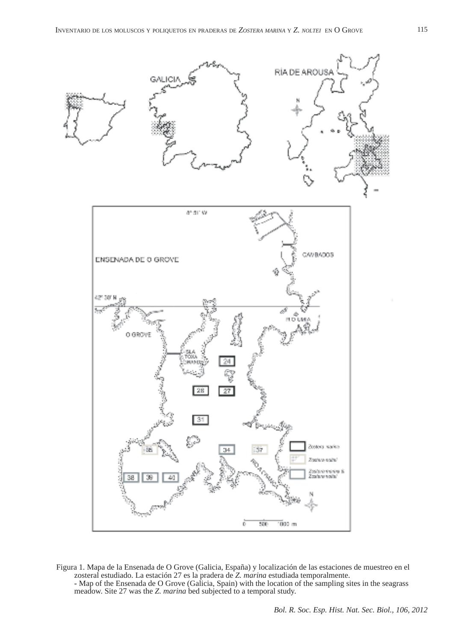

Figura 1. Mapa de la Ensenada de O Grove (Galicia, España) y localización de las estaciones de muestreo en el zosteral estudiado. La estación 27 es la pradera de Z. marina estudiada temporalmente. - Map of the Ensenada de O Grove (Galicia, Spain) with the location of the sampling sites in the seagrass meadow. Site 27 was the *Z. marina* bed subjected to a temporal study.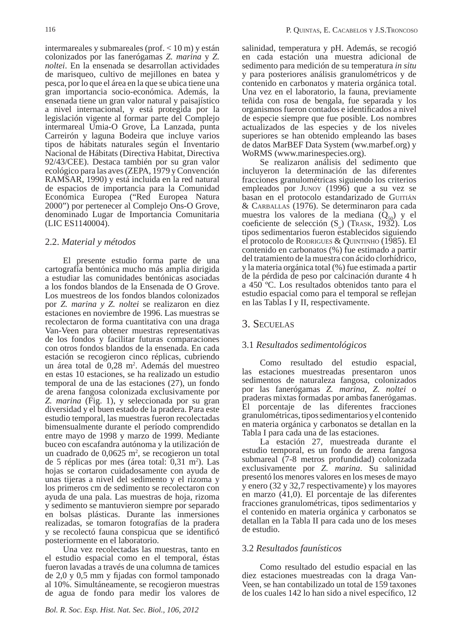intermareales y submareales (prof. < 10 m) y están colonizados por las fanerógamas *Z. marina* y *Z. noltei*. En la ensenada se desarrollan actividades de marisqueo, cultivo de mejillones en batea y pesca, por lo que el área en la que se ubica tiene una gran importancia socio-económica. Además, la ensenada tiene un gran valor natural y paisajístico a nivel internacional, y está protegida por la legislación vigente al formar parte del Complejo intermareal Umia-O Grove, La Lanzada, punta Carreirón y laguna Bodeira que incluye varios tipos de hábitats naturales según el Inventario Nacional de Hábitats (Directiva Habitat, Directiva 92/43/CEE). Destaca también por su gran valor ecológico para las aves (ZEPA, 1979 y Convención RAMSAR, 1990) y está incluida en la red natural de espacios de importancia para la Comunidad Económica Europea ("Red Europea Natura 2000") por pertenecer al Complejo Ons-O Grove, denominado Lugar de Importancia Comunitaria (LIC ES1140004).

### 2.2. *Material y métodos*

El presente estudio forma parte de una cartografía bentónica mucho más amplia dirigida a estudiar las comunidades bentónicas asociadas a los fondos blandos de la Ensenada de O Grove. Los muestreos de los fondos blandos colonizados por *Z. marina y Z. noltei* se realizaron en diez estaciones en noviembre de 1996. Las muestras se recolectaron de forma cuantitativa con una draga Van-Veen para obtener muestras representativas de los fondos y facilitar futuras comparaciones con otros fondos blandos de la ensenada. En cada estación se recogieron cinco réplicas, cubriendo un área total de 0,28 m2 . Además del muestreo en estas 10 estaciones, se ha realizado un estudio temporal de una de las estaciones (27), un fondo de arena fangosa colonizada exclusivamente por *Z. marina* (Fig. 1), y seleccionada por su gran diversidad y el buen estado de la pradera. Para este estudio temporal, las muestras fueron recolectadas bimensualmente durante el período comprendido entre mayo de 1998 y marzo de 1999. Mediante buceo con escafandra autónoma y la utilización de un cuadrado de  $0,0625$  m<sup>2</sup>, se recogieron un total de 5 réplicas por mes (área total: 0,31 m2 ). Las hojas se cortaron cuidadosamente con ayuda de unas tijeras a nivel del sedimento y el rizoma y los primeros cm de sedimento se recolectaron con ayuda de una pala. Las muestras de hoja, rizoma y sedimento se mantuvieron siempre por separado en bolsas plásticas. Durante las inmersiones realizadas, se tomaron fotografías de la pradera y se recolectó fauna conspicua que se identificó posteriormente en el laboratorio.

Una vez recolectadas las muestras, tanto en el estudio espacial como en el temporal, éstas fueron lavadas a través de una columna de tamices  $de 2,0 y 0,5 mm y fijadas con formol tamponado$ al 10%. Simultáneamente, se recogieron muestras de agua de fondo para medir los valores de

salinidad, temperatura y pH. Además, se recogió en cada estación una muestra adicional de sedimento para medición de su temperatura *in situ* y para posteriores análisis granulométricos y de contenido en carbonatos y materia orgánica total. Una vez en el laboratorio, la fauna, previamente teñida con rosa de bengala, fue separada y los organismos fueron contados e identificados a nivel de especie siempre que fue posible. Los nombres actualizados de las especies y de los niveles superiores se han obtenido empleando las bases de datos MarBEF Data System (ww.marbef.org) y WoRMS (www.marinespecies.org).

Se realizaron análisis del sedimento que incluyeron la determinación de las diferentes fracciones granulométricas siguiendo los criterios empleados por JUNOY (1996) que a su vez se basan en el protocolo estandarizado de GUITIÁN & CARBALLAS (1976). Se determinaron para cada muestra los valores de la mediana  $(Q_{50})$  y el coeficiente de selección  $(S_0)$  (TRASK, 1932). Los tipos sedimentarios fueron establecidos siguiendo el protocolo de RODRIGUES & QUINTINHO (1985). El contenido en carbonatos (%) fue estimado a partir del tratamiento de la muestra con ácido clorhídrico, y la materia orgánica total (%) fue estimada a partir de la pérdida de peso por calcinación durante 4 h a 450 ºC. Los resultados obtenidos tanto para el estudio espacial como para el temporal se reflejan en las Tablas I y II, respectivamente.

## 3. SECUELAS

### 3.1 *Resultados sedimentológicos*

Como resultado del estudio espacial, las estaciones muestreadas presentaron unos sedimentos de naturaleza fangosa, colonizados por las fanerógamas *Z. marina*, *Z. noltei* o praderas mixtas formadas por ambas fanerógamas. El porcentaje de las diferentes fracciones granulométricas, tipos sedimentarios y el contenido en materia orgánica y carbonatos se detallan en la Tabla I para cada una de las estaciones.

La estación 27, muestreada durante el estudio temporal, es un fondo de arena fangosa submareal (7-8 metros profundidad) colonizada exclusivamente por *Z. marina*. Su salinidad presentó los menores valores en los meses de mayo y enero (32 y 32,7 respectivamente) y los mayores en marzo (41,0). El porcentaje de las diferentes fracciones granulométricas, tipos sedimentarios y el contenido en materia orgánica y carbonatos se detallan en la Tabla II para cada uno de los meses de estudio.

### 3.2 *Resultados faunísticos*

Como resultado del estudio espacial en las diez estaciones muestreadas con la draga Van-Veen, se han contabilizado un total de 159 taxones de los cuales 142 lo han sido a nivel específico, 12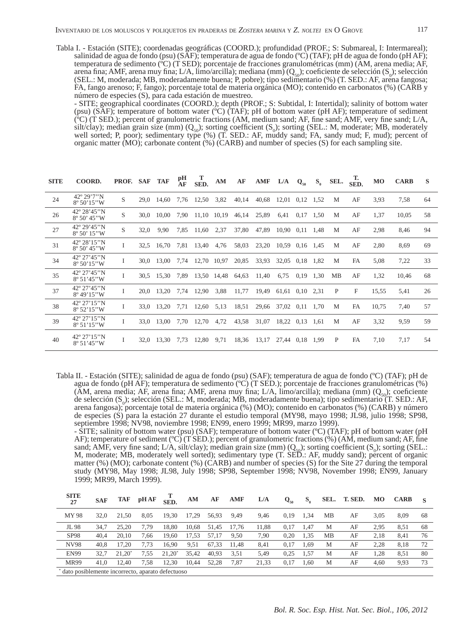Tabla I. - Estación (SITE); coordenadas geográficas (COORD.); profundidad (PROF.; S: Submareal, I: Intermareal); salinidad de agua de fondo (psu) (SAF); temperatura de agua de fondo (ºC) (TAF); pH de agua de fondo (pH AF); temperatura de sedimento (ºC) (T SED); porcentaje de fracciones granulométricas (mm) (AM, arena media; AF, arena fina; AMF, arena muy fina; L/A, limo/arcilla); mediana (mm)  $(Q_{50})$ ; coeficiente de selección (S<sub>0</sub>); selección (SEL.: M, moderada; MB, moderadamente buena; P, pobre); tipo sedimentario (%) (T. SED.: AF, arena fangosa; FA, fango arenoso; F, fango); porcentaje total de materia orgánica (MO); contenido en carbonatos (%) (CARB y número de especies (S), para cada estación de muestreo.

 - SITE; geographical coordinates (COORD.); depth (PROF.; S: Subtidal, I: Intertidal); salinity of bottom water (psu) (SAF); temperature of bottom water (ºC) (TAF); pH of bottom water (pH AF); temperature of sediment ( $^{\circ}$ C) (T SED.); percent of granulometric fractions (AM, medium sand; AF, fine sand; AMF, very fine sand; L/A, silt/clay); median grain size (mm)  $(Q_{50})$ ; sorting coefficient  $(S_0)$ ; sorting (SEL.: M, moderate; MB, moderately well sorted; P, poor); sedimentary type (%) (T. SED.: AF, muddy sand; FA, sandy mud; F, mud); percent of organic matter (MO); carbonate content (%) (CARB) and number of species (S) for each sampling site.

| <b>SITE</b> | COORD.                                            | PROF. SAF |      | TAF             | pН<br>ĀF | т<br>SED. | AМ          | AF    | AMF         | L/A                   | $Q_{50}$ | $S_{\alpha}$ | SEL. | т.<br>SED. | <b>MO</b> | <b>CARB</b> | S  |
|-------------|---------------------------------------------------|-----------|------|-----------------|----------|-----------|-------------|-------|-------------|-----------------------|----------|--------------|------|------------|-----------|-------------|----|
| 24          | $42^{\circ} 29'7''N$<br>$8^{\circ} 50' 15'' W$    | S         |      | 29,0 14,60      | 7,76     | 12,50     | 3,82        | 40,14 | 40,68       | $12,01$ 0.12          |          | 1,52         | M    | AF         | 3,93      | 7,58        | 64 |
| 26          | 42° 28' 45" N<br>$8^{\circ} 50' 45'' W$           | S         | 30.0 | 10.00           | 7,90     |           | 11,10 10,19 | 46,14 | 25,89       | 6,41                  | 0,17     | 1,50         | M    | AF         | 1,37      | 10,05       | 58 |
| 27          | 42° 29' 45" N<br>$8^{\circ} 50' 15''$ W           | S         | 32,0 | 9,90            | 7,85     | 11,60     | 2,37        | 37,80 | 47,89       | 10.90 0.11 1.48       |          |              | M    | AF         | 2,98      | 8,46        | 94 |
| 31          | 42° 28' 15" N<br>$8^{\circ} 50' 45'' W$           | I         | 32,5 | 16.70           | 7,81     | 13,40     | 4,76        | 58,03 | 23,20       | 10.59 0.16 1.45       |          |              | M    | AF         | 2,80      | 8.69        | 69 |
| 34          | 42° 27' 45" N<br>$8^{\circ} 50' 15'' W$           | Ι         |      | 30.0 13.00      | 7.74     | 12.70     | 10.97       | 20,85 | 33.93       | 32.05 0.18 1.82       |          |              | M    | FA         | 5,08      | 7,22        | 33 |
| 35          | 42° 27'45"N<br>$8^{\circ} 51' 45'' W$             | I         | 30.5 | 15,30           | 7,89     | 13,50     | 14,48       | 64,63 | 11,40       | 6,75                  | 0,19     | 1,30         | MB   | AF         | 1,32      | 10,46       | 68 |
| 37          | 42° 27'45"N<br>$8^{\circ}$ 49'15"W                |           | 20.0 | 13,20           | 7,74     | 12,90     | 3,88        | 11,77 | 19,49       | $61,61$ $0,10$ $2,31$ |          |              | P    | F          | 15,55     | 5,41        | 26 |
| 38          | $42^{\circ} 27' 15'' N$<br>$8^{\circ} 52' 15'' W$ | Ι         | 33.0 | 13,20           | 7,71     | 12,60     | 5,13        | 18,51 | 29,66       | 37,02 0,11 1,70       |          |              | M    | FA         | 10,75     | 7,40        | 57 |
| 39          | 42° 27' 15" N<br>$8^{\circ} 51' 15'' W$           | Ι         |      | 33.0 13.00      | 7,70     | 12,70     | 4,72        | 43,58 | 31,07       | 18,22 0.13            |          | -1.61        | M    | AF         | 3,32      | 9.59        | 59 |
| 40          | 42° 27' 15" N<br>$8^{\circ} 51' 45'' W$           | Ι         |      | 32,0 13,30 7,73 |          | 12,80     | 9,71        |       | 18,36 13,17 | 27,44 0,18 1,99       |          |              | P    | FA         | 7,10      | 7,17        | 54 |

Tabla II. - Estación (SITE); salinidad de agua de fondo (psu) (SAF); temperatura de agua de fondo (ºC) (TAF); pH de agua de fondo (pH AF); temperatura de sedimento (ºC) (T SED.); porcentaje de fracciones granulométricas (%) (AM, arena media; AF, arena fina; AMF, arena muy fina; L/A, limo/arcilla); mediana (mm) ( $Q_{50}$ ); coeficiente de selección  $(S_0)$ ; selección (SEL.: M, moderada; MB, moderadamente buena); tipo sedimentario (T. SED.: AF, arena fangosa); porcentaje total de materia orgánica (%) (MO); contenido en carbonatos (%) (CARB) y número de especies (S) para la estación 27 durante el estudio temporal (MY98, mayo 1998; JL98, julio 1998; SP98, septiembre 1998; NV98, noviembre 1998; EN99, enero 1999; MR99, marzo 1999).

 - SITE; salinity of bottom water (psu) (SAF); temperature of bottom water (ºC) (TAF); pH of bottom water (pH AF); temperature of sediment ( $\rm{°C}$ ) (T SED.); percent of granulometric fractions (%) (AM, medium sand; AF, fine sand; AMF, very fine sand; L/A, silt/clay); median grain size  $(mm)$  ( $Q_{s0}$ ); sorting coefficient (S<sub>0</sub>); sorting (SEL.: M, moderate; MB, moderately well sorted); sedimentary type (T. SED.: AF, muddy sand); percent of organic matter (%) (MO); carbonate content (%) (CARB) and number of species (S) for the Site 27 during the temporal study (MY98, May 1998; JL98, July 1998; SP98, September 1998; NV98, November 1998; EN99, January 1999; MR99, March 1999).

| <b>SITE</b><br>27                                | <b>SAF</b> | TAF             | pH AF | <b>SED</b> | AМ    | AF    | <b>AMF</b> | L/A   | $Q_{50}$ | $S_{\alpha}$ | SEL.      | T. SED. | MO   | <b>CARB</b> |    |
|--------------------------------------------------|------------|-----------------|-------|------------|-------|-------|------------|-------|----------|--------------|-----------|---------|------|-------------|----|
| MY 98                                            | 32.0       | 21.50           | 8.05  | 19.30      | 17.29 | 56.93 | 9.49       | 9.46  | 0.19     | 1.34         | MВ        | AF      | 3.05 | 8.09        | 68 |
| JL 98                                            | 34.7       | 25.20           | 7.79  | 18.80      | 10.68 | 51.45 | 17.76      | 11.88 | 0.17     | 1.47         | М         | AF      | 2.95 | 8.51        | 68 |
| <b>SP98</b>                                      | 40.4       | 20.10           | 7.66  | 19.60      | 17.53 | 57.17 | 9.50       | 7,90  | 0.20     | 1,35         | <b>MB</b> | AF      | 2,18 | 8,41        | 76 |
| NV98                                             | 40.8       | 17.20           | 7.73  | 16.90      | 9,51  | 67.33 | 11.48      | 8,41  | 0.17     | 1.69         | М         | AF      | 2.28 | 8.18        | 72 |
| <b>EN99</b>                                      | 32.7       | $21.20^{\circ}$ | 7.55  | $21.20^*$  | 35.42 | 40.93 | 3,51       | 5,49  | 0.25     | 1,57         | М         | AF      | 1,28 | 8,51        | 80 |
| <b>MR99</b>                                      | 41.0       | 12.40           | 7,58  | 12,30      | 10.44 | 52.28 | 7,87       | 21,33 | 0.17     | 1,60         | М         | AF      | 4,60 | 9,93        | 73 |
| dato posiblemente incorrecto, aparato defectuoso |            |                 |       |            |       |       |            |       |          |              |           |         |      |             |    |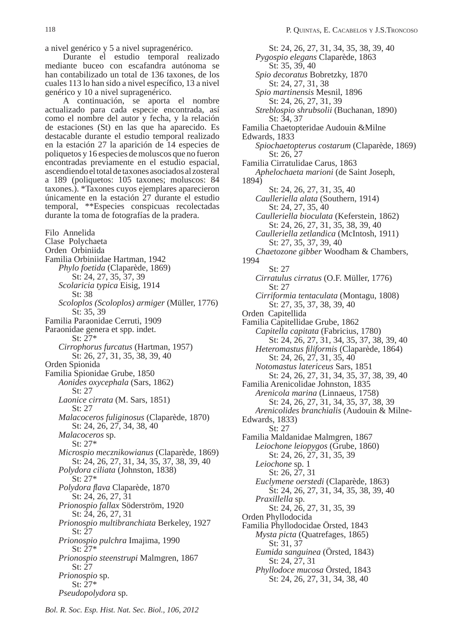a nivel genérico y 5 a nivel supragenérico.

Durante el estudio temporal realizado mediante buceo con escafandra autónoma se han contabilizado un total de 136 taxones, de los cuales 113 lo han sido a nivel específico, 13 a nivel genérico y 10 a nivel supragenérico.

A continuación, se aporta el nombre actualizado para cada especie encontrada, así como el nombre del autor y fecha, y la relación de estaciones (St) en las que ha aparecido. Es destacable durante el estudio temporal realizado en la estación 27 la aparición de 14 especies de poliquetos y 16 especies de moluscos que no fueron encontradas previamente en el estudio espacial, ascendiendo el total de taxones asociados al zosteral a 189 (poliquetos: 105 taxones; moluscos: 84 taxones.). \*Taxones cuyos ejemplares aparecieron únicamente en la estación 27 durante el estudio temporal, \*\*Especies conspicuas recolectadas durante la toma de fotografías de la pradera.

Filo Annelida Clase Polychaeta Orden Orbiniida Familia Orbiniidae Hartman, 1942  *Phylo foetida* (Claparède, 1869) St: 24, 27, 35, 37, 39  *Scolaricia typica* Eisig, 1914 St: 38  *Scoloplos (Scoloplos) armiger* (Müller, 1776) St: 35, 39 Familia Paraonidae Cerruti, 1909 Paraonidae genera et spp. indet. St: 27\*  *Cirrophorus furcatus* (Hartman, 1957) St: 26, 27, 31, 35, 38, 39, 40 Orden Spionida Familia Spionidae Grube, 1850  *Aonides oxycephala* (Sars, 1862) St: 27  *Laonice cirrata* (M. Sars, 1851) St: 27  *Malacoceros fuliginosus* (Claparède, 1870) St: 24, 26, 27, 34, 38, 40  *Malacoceros* sp. St: 27\*  *Microspio mecznikowianus* (Claparède, 1869) St: 24, 26, 27, 31, 34, 35, 37, 38, 39, 40  *Polydora ciliata* (Johnston, 1838) St: 27\*  *Polydora fl ava* Claparède, 1870 St: 24, 26, 27, 31  *Prionospio fallax* Söderström, 1920 St: 24, 26, 27, 31  *Prionospio multibranchiata* Berkeley, 1927 St: 27  *Prionospio pulchra* Imajima, 1990 St: 27\*  *Prionospio steenstrupi* Malmgren, 1867 St: 27  *Prionospio* sp. St: 27\*  *Pseudopolydora* sp.

 St: 24, 26, 27, 31, 34, 35, 38, 39, 40  *Pygospio elegans* Claparède, 1863 St: 35, 39, 40  *Spio decoratus* Bobretzky, 1870 St: 24, 27, 31, 38  *Spio martinensis* Mesnil, 1896 St: 24, 26, 27, 31, 39  *Streblospio shrubsolii* (Buchanan, 1890) St: 34, 37 Familia Chaetopteridae Audouin &Milne Edwards, 1833  *Spiochaetopterus costarum* (Claparède, 1869) St: 26, 27 Familia Cirratulidae Carus, 1863  *Aphelochaeta marioni* (de Saint Joseph, 1894) St: 24, 26, 27, 31, 35, 40  *Caulleriella alata* (Southern, 1914) St: 24, 27, 35, 40  *Caulleriella bioculata* (Keferstein, 1862) St: 24, 26, 27, 31, 35, 38, 39, 40  *Caulleriella zetlandica* (McIntosh, 1911) St: 27, 35, 37, 39, 40  *Chaetozone gibber* Woodham & Chambers, 1994 St: 27  *Cirratulus cirratus* (O.F. Müller, 1776) St: 27  *Cirriformia tentaculata* (Montagu, 1808) St: 27, 35, 37, 38, 39, 40 Orden Capitellida Familia Capitellidae Grube, 1862  *Capitella capitata* (Fabricius, 1780) St: 24, 26, 27, 31, 34, 35, 37, 38, 39, 40  *Heteromastus fi liformis* (Claparède, 1864) St: 24, 26, 27, 31, 35, 40  *Notomastus latericeus* Sars, 1851 St: 24, 26, 27, 31, 34, 35, 37, 38, 39, 40 Familia Arenicolidae Johnston, 1835  *Arenicola marina* (Linnaeus, 1758) St: 24, 26, 27, 31, 34, 35, 37, 38, 39  *Arenicolides branchialis* (Audouin & Milne-Edwards, 1833) St: 27 Familia Maldanidae Malmgren, 1867  *Leiochone leiopygos* (Grube, 1860) St: 24, 26, 27, 31, 35, 39  *Leiochone* sp. 1 St: 26, 27, 31  *Euclymene oerstedi* (Claparède, 1863) St: 24, 26, 27, 31, 34, 35, 38, 39, 40  *Praxillella* sp. St: 24, 26, 27, 31, 35, 39 Orden Phyllodocida Familia Phyllodocidae Örsted, 1843  *Mysta picta* (Quatrefages, 1865) St: 31, 37  *Eumida sanguinea* (Örsted, 1843) St: 24, 27, 31  *Phyllodoce mucosa* Örsted, 1843 St: 24, 26, 27, 31, 34, 38, 40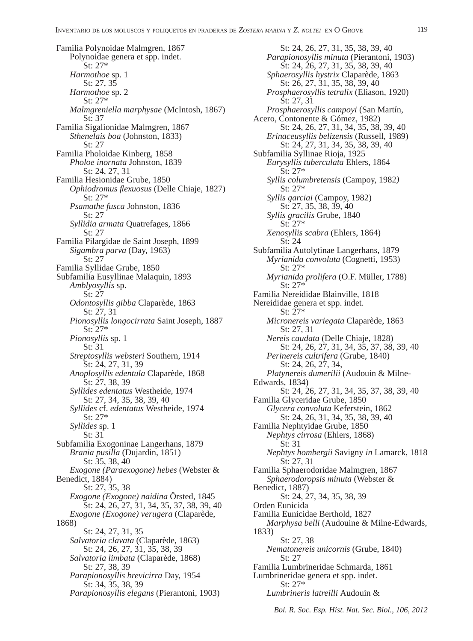Familia Polynoidae Malmgren, 1867 Polynoidae genera et spp. indet. St: 27\*  *Harmothoe* sp. 1 St: 27, 35  *Harmothoe* sp. 2 St: 27\*  *Malmgreniella marphysae* (McIntosh, 1867) St: 37 Familia Sigalionidae Malmgren, 1867  *Sthenelais boa* (Johnston, 1833) St: 27 Familia Pholoidae Kinberg, 1858  *Pholoe inornata* Johnston, 1839 St: 24, 27, 31 Familia Hesionidae Grube, 1850  *Ophiodromus fl exuosus* (Delle Chiaje, 1827) St: 27\*  *Psamathe fusca* Johnston, 1836 St: 27  *Syllidia armata* Quatrefages, 1866 St: 27 Familia Pilargidae de Saint Joseph, 1899  *Sigambra parva* (Day, 1963) St: 27 Familia Syllidae Grube, 1850 Subfamilia Eusyllinae Malaquin, 1893  *Amblyosyllis* sp. St: 27  *Odontosyllis gibba* Claparède, 1863 St: 27, 31  *Pionosyllis longocirrata* Saint Joseph, 1887 St: 27\*  *Pionosyllis* sp. 1 St: 31  *Streptosyllis websteri* Southern, 1914 St: 24, 27, 31, 39  *Anoplosyllis edentula* Claparède, 1868 St: 27, 38, 39  *Syllides edentatus* Westheide, 1974 St: 27, 34, 35, 38, 39, 40  *Syllides* cf. *edentatus* Westheide, 1974 St: 27\*  *Syllides* sp. 1 St: 31 Subfamilia Exogoninae Langerhans, 1879  *Brania pusilla* (Dujardin, 1851) St: 35, 38, 40  *Exogone (Paraexogone) hebes* (Webster & Benedict, 1884) St: 27, 35, 38  *Exogone (Exogone) naidina* Örsted, 1845 St: 24, 26, 27, 31, 34, 35, 37, 38, 39, 40  *Exogone (Exogone) verugera* (Claparède, 1868) St: 24, 27, 31, 35  *Salvatoria clavata* (Claparède, 1863) St: 24, 26, 27, 31, 35, 38, 39  *Salvatoria limbata* (Claparède, 1868) St: 27, 38, 39  *Parapionosyllis brevicirra* Day, 1954 St: 34, 35, 38, 39  *Parapionosyllis elegans* (Pierantoni, 1903)

 St: 24, 26, 27, 31, 35, 38, 39, 40  *Parapionosyllis minuta* (Pierantoni, 1903) St: 24, 26, 27, 31, 35, 38, 39, 40  *Sphaerosyllis hystrix* Claparède, 1863 St: 26, 27, 31, 35, 38, 39, 40  *Prosphaerosyllis tetralix* (Eliason, 1920) St: 27, 31  *Prosphaerosyllis campoyi* (San Martín, Acero, Contonente & Gómez, 1982) St: 24, 26, 27, 31, 34, 35, 38, 39, 40  *Erinaceusyllis belizensis* (Russell, 1989) St: 24, 27, 31, 34, 35, 38, 39, 40 Subfamilia Syllinae Rioja, 1925  *Eurysyllis tuberculata* Ehlers, 1864 St: 27\*  *Syllis columbretensis* (Campoy, 1982*)* St: 27\*  *Syllis garciai* (Campoy, 1982) St: 27, 35, 38, 39, 40  *Syllis gracilis* Grube, 1840 St: 27\*  *Xenosyllis scabra* (Ehlers, 1864) St: 24 Subfamilia Autolytinae Langerhans, 1879  *Myrianida convoluta* (Cognetti, 1953) St: 27\*  *Myrianida prolifera* (O.F. Müller, 1788) St: 27\* Familia Nereididae Blainville, 1818 Nereididae genera et spp. indet. St: 27\*  *Micronereis variegata* Claparède, 1863 St: 27, 31  *Nereis caudata* (Delle Chiaje, 1828) St: 24, 26, 27, 31, 34, 35, 37, 38, 39, 40  *Perinereis cultrifera* (Grube, 1840) St: 24, 26, 27, 34,  *Platynereis dumerilii* (Audouin & Milne-Edwards, 1834) St: 24, 26, 27, 31, 34, 35, 37, 38, 39, 40 Familia Glyceridae Grube, 1850  *Glycera convoluta* Keferstein, 1862 St: 24, 26, 31, 34, 35, 38, 39, 40 Familia Nephtyidae Grube, 1850  *Nephtys cirrosa* (Ehlers, 1868) St: 31  *Nephtys hombergii* Savigny *in* Lamarck, 1818 St: 27, 31 Familia Sphaerodoridae Malmgren, 1867  *Sphaerodoropsis minuta* (Webster & Benedict, 1887) St: 24, 27, 34, 35, 38, 39 Orden Eunicida Familia Eunicidae Berthold, 1827  *Marphysa belli* (Audouine & Milne-Edwards, 1833) St: 27, 38  *Nematonereis unicornis* (Grube, 1840) St: 27 Familia Lumbrineridae Schmarda, 1861 Lumbrineridae genera et spp. indet. St: 27\*  *Lumbrineris latreilli* Audouin &

*Bol. R. Soc. Esp. Hist. Nat. Sec. Biol., 106, 2012*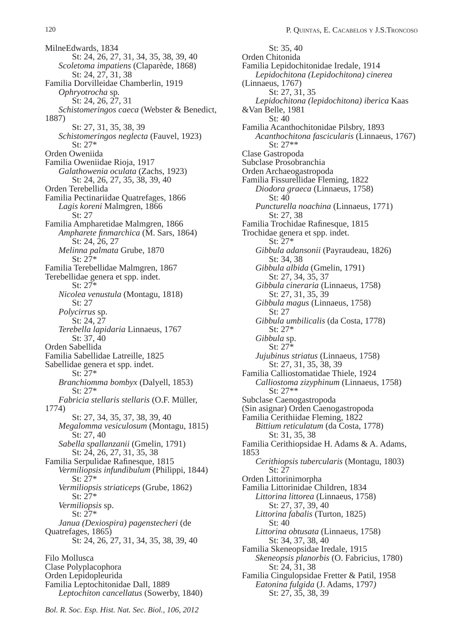MilneEdwards, 1834 St: 24, 26, 27, 31, 34, 35, 38, 39, 40  *Scoletoma impatiens* (Claparède, 1868) St: 24, 27, 31, 38 Familia Dorvilleidae Chamberlin, 1919  *Ophryotrocha* sp*.* St: 24, 26, 27, 31  *Schistomeringos caeca* (Webster & Benedict, 1887) St: 27, 31, 35, 38, 39  *Schistomeringos neglecta* (Fauvel, 1923) St: 27\* Orden Oweniida Familia Oweniidae Rioja, 1917  *Galathowenia oculata* (Zachs, 1923) St: 24, 26, 27, 35, 38, 39, 40 Orden Terebellida Familia Pectinariidae Quatrefages, 1866  *Lagis koreni* Malmgren, 1866 St: 27 Familia Ampharetidae Malmgren, 1866  *Ampharete fi nmarchica* (M. Sars, 1864) St: 24, 26, 27  *Melinna palmata* Grube, 1870 St: 27\* Familia Terebellidae Malmgren, 1867 Terebellidae genera et spp. indet. St: 27\*  *Nicolea venustula* (Montagu, 1818) St: 27  *Polycirrus* sp. St: 24, 27  *Terebella lapidaria* Linnaeus, 1767 St: 37, 40 Orden Sabellida Familia Sabellidae Latreille, 1825 Sabellidae genera et spp. indet. St: 27\*  *Branchiomma bombyx* (Dalyell, 1853) St: 27\*  *Fabricia stellaris stellaris* (O.F. Müller, 1774) St: 27, 34, 35, 37, 38, 39, 40  *Megalomma vesiculosum* (Montagu, 1815) St: 27, 40  *Sabella spallanzanii* (Gmelin, 1791) St: 24, 26, 27, 31, 35, 38 Familia Serpulidae Rafinesque, 1815  *Vermiliopsis infundibulum* (Philippi, 1844) St: 27\*  *Vermiliopsis striaticeps* (Grube, 1862) St: 27\*  *Vermiliopsis* sp. St: 27\*  *Janua (Dexiospira) pagenstecheri* (de Quatrefages, 1865) St: 24, 26, 27, 31, 34, 35, 38, 39, 40 Filo Mollusca Clase Polyplacophora Orden Lepidopleurida Familia Leptochitonidae Dall, 1889  *Leptochiton cancellatus* (Sowerby, 1840)

 St: 35, 40 Orden Chitonida Familia Lepidochitonidae Iredale, 1914  *Lepidochitona (Lepidochitona) cinerea*  (Linnaeus, 1767) St: 27, 31, 35  *Lepidochitona (lepidochitona) iberica* Kaas &Van Belle, 1981 St: 40 Familia Acanthochitonidae Pilsbry, 1893  *Acanthochitona fascicularis* (Linnaeus, 1767) St: 27\*\* Clase Gastropoda Subclase Prosobranchia Orden Archaeogastropoda Familia Fissurellidae Fleming, 1822  *Diodora graeca* (Linnaeus, 1758) St: 40  *Puncturella noachina* (Linnaeus, 1771) St: 27, 38 Familia Trochidae Rafinesque, 1815 Trochidae genera et spp. indet. St: 27\*  *Gibbula adansonii* (Payraudeau, 1826) St: 34, 38  *Gibbula albida* (Gmelin, 1791) St: 27, 34, 35, 37  *Gibbula cineraria* (Linnaeus, 1758) St: 27, 31, 35, 39  *Gibbula magus* (Linnaeus, 1758) St: 27  *Gibbula umbilicalis* (da Costa, 1778) St: 27\*  *Gibbula* sp. St: 27\*  *Jujubinus striatus* (Linnaeus, 1758) St: 27, 31, 35, 38, 39 Familia Calliostomatidae Thiele, 1924  *Calliostoma zizyphinum* (Linnaeus, 1758) St: 27\*\* Subclase Caenogastropoda (Sin asignar) Orden Caenogastropoda Familia Cerithiidae Fleming, 1822  *Bittium reticulatum* (da Costa, 1778) St: 31, 35, 38 Familia Cerithiopsidae H. Adams & A. Adams, 1853  *Cerithiopsis tubercularis* (Montagu, 1803) St: 27 Orden Littorinimorpha Familia Littorinidae Children, 1834  *Littorina littorea* (Linnaeus, 1758) St: 27, 37, 39, 40  *Littorina fabalis* (Turton, 1825) St: 40  *Littorina obtusata* (Linnaeus, 1758) St: 34, 37, 38, 40 Familia Skeneopsidae Iredale, 1915  *Skeneopsis planorbis* (O. Fabricius, 1780) St: 24, 31, 38 Familia Cingulopsidae Fretter & Patil, 1958  *Eatonina fulgida* (J. Adams, 1797*)* St: 27, 35, 38, 39

*Bol. R. Soc. Esp. Hist. Nat. Sec. Biol., 106, 2012*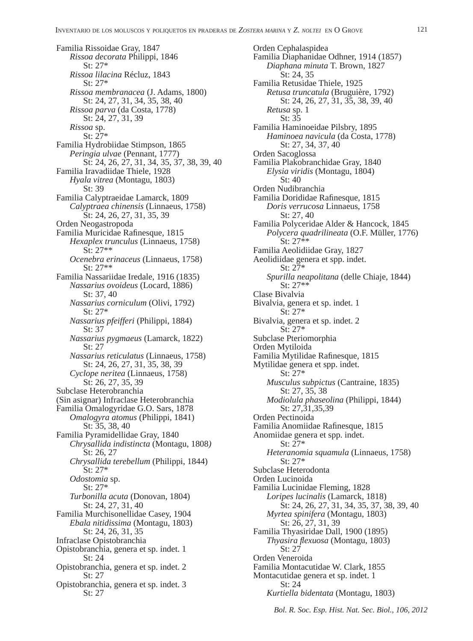Familia Rissoidae Gray, 1847  *Rissoa decorata* Philippi, 1846 St: 27\*  *Rissoa lilacina* Récluz, 1843 St: 27\*  *Rissoa membranacea* (J. Adams, 1800) St: 24, 27, 31, 34, 35, 38, 40  *Rissoa parva* (da Costa, 1778) St: 24, 27, 31, 39  *Rissoa* sp. St: 27\* Familia Hydrobiidae Stimpson, 1865  *Peringia ulvae* (Pennant, 1777) St: 24, 26, 27, 31, 34, 35, 37, 38, 39, 40 Familia Iravadiidae Thiele, 1928  *Hyala vitrea* (Montagu, 1803) St: 39 Familia Calyptraeidae Lamarck, 1809  *Calyptraea chinensis* (Linnaeus, 1758) St: 24, 26, 27, 31, 35, 39 Orden Neogastropoda Familia Muricidae Rafinesque, 1815  *Hexaplex trunculus* (Linnaeus, 1758) St: 27\*\*  *Ocenebra erinaceus* (Linnaeus, 1758) St: 27\*\* Familia Nassariidae Iredale, 1916 (1835)  *Nassarius ovoideus* (Locard, 1886) St: 37, 40  *Nassarius corniculum* (Olivi, 1792) St: 27\*  *Nassarius pfeifferi* (Philippi, 1884) St: 37  *Nassarius pygmaeus* (Lamarck, 1822) St: 27  *Nassarius reticulatus* (Linnaeus, 1758) St: 24, 26, 27, 31, 35, 38, 39  *Cyclope neritea* (Linnaeus, 1758) St: 26, 27, 35, 39 Subclase Heterobranchia (Sin asignar) Infraclase Heterobranchia Familia Omalogyridae G.O. Sars, 1878  *Omalogyra atomus* (Philippi, 1841) St: 35, 38, 40 Familia Pyramidellidae Gray, 1840  *Chrysallida indistincta* (Montagu, 1808*)* St: 26, 27  *Chrysallida terebellum* (Philippi, 1844) St: 27\*  *Odostomia* sp. St: 27\*  *Turbonilla acuta* (Donovan, 1804) St: 24, 27, 31, 40 Familia Murchisonellidae Casey, 1904  *Ebala nitidissima* (Montagu, 1803) St: 24, 26, 31, 35 Infraclase Opistobranchia Opistobranchia, genera et sp. indet. 1 St: 24 Opistobranchia, genera et sp. indet. 2 St: 27 Opistobranchia, genera et sp. indet. 3 St: 27

Orden Cephalaspidea Familia Diaphanidae Odhner, 1914 (1857)  *Diaphana minuta* T. Brown, 1827 St: 24, 35 Familia Retusidae Thiele, 1925  *Retusa truncatula* (Bruguière, 1792) St: 24, 26, 27, 31, 35, 38, 39, 40  *Retusa* sp. 1 St: 35 Familia Haminoeidae Pilsbry, 1895  *Haminoea navicula* (da Costa, 1778) St: 27, 34, 37, 40 Orden Sacoglossa Familia Plakobranchidae Gray, 1840  *Elysia viridis* (Montagu, 1804) St: 40 Orden Nudibranchia Familia Dorididae Rafinesque, 1815  *Doris verrucosa* Linnaeus, 1758 St: 27, 40 Familia Polyceridae Alder & Hancock, 1845  *Polycera quadrilineata* (O.F. Müller, 1776)  $St: 27**$ Familia Aeolidiidae Gray, 1827 Aeolidiidae genera et spp. indet. St: 27\*  *Spurilla neapolitana* (delle Chiaje, 1844) St: 27\*\* Clase Bivalvia Bivalvia, genera et sp. indet. 1 St: 27\* Bivalvia, genera et sp. indet. 2 St: 27\* Subclase Pteriomorphia Orden Mytiloida Familia Mytilidae Rafinesque, 1815 Mytilidae genera et spp. indet. St: 27\*  *Musculus subpictus* (Cantraine, 1835) St: 27, 35, 38  *Modiolula phaseolina* (Philippi, 1844) St: 27,31,35,39 Orden Pectinoida Familia Anomiidae Rafinesque, 1815 Anomiidae genera et spp. indet. St: 27\*  *Heteranomia squamula* (Linnaeus, 1758) St: 27\* Subclase Heterodonta Orden Lucinoida Familia Lucinidae Fleming, 1828  *Loripes lucinalis* (Lamarck, 1818) St: 24, 26, 27, 31, 34, 35, 37, 38, 39, 40  *Myrtea spinifera* (Montagu, 1803) St: 26, 27, 31, 39 Familia Thyasiridae Dall, 1900 (1895)  *Thyasira fl exuosa* (Montagu, 1803) St: 27 Orden Veneroida Familia Montacutidae W. Clark, 1855 Montacutidae genera et sp. indet. 1 St: 24  *Kurtiella bidentata* (Montagu, 1803)

*Bol. R. Soc. Esp. Hist. Nat. Sec. Biol., 106, 2012*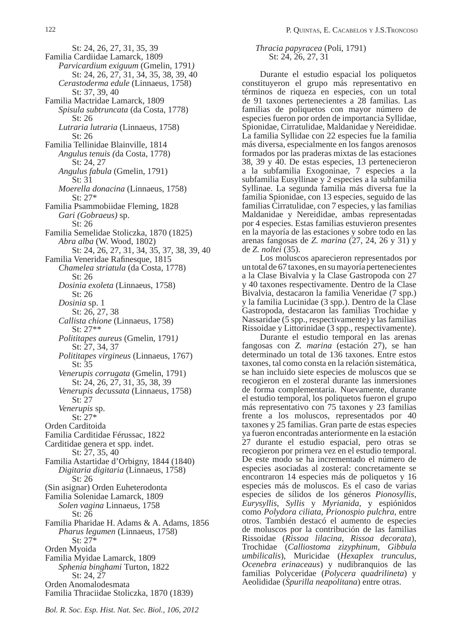St: 24, 26, 27, 31, 35, 39 Familia Cardiidae Lamarck, 1809  *Parvicardium exiguum* (Gmelin, 1791*)* St: 24, 26, 27, 31, 34, 35, 38, 39, 40  *Cerastoderma edule* (Linnaeus, 1758) St: 37, 39, 40 Familia Mactridae Lamarck, 1809  *Spisula subtruncata* (da Costa, 1778)  $St: 26$  *Lutraria lutraria* (Linnaeus, 1758) St: 26 Familia Tellinidae Blainville, 1814  *Angulus tenuis (*da Costa, 1778) St: 24, 27  *Angulus fabula* (Gmelin, 1791) St: 31  *Moerella donacina* (Linnaeus, 1758) St: 27\* Familia Psammobiidae Fleming, 1828  *Gari (Gobraeus)* sp. St: 26 Familia Semelidae Stoliczka, 1870 (1825)  *Abra alba* (W. Wood, 1802) St: 24, 26, 27, 31, 34, 35, 37, 38, 39, 40 Familia Veneridae Rafinesque, 1815  *Chamelea striatula* (da Costa, 1778) St: 26  *Dosinia exoleta* (Linnaeus, 1758) St: 26  *Dosinia* sp. 1 St: 26, 27, 38  *Callista chione* (Linnaeus, 1758) St: 27\*\*  *Polititapes aureus* (Gmelin, 1791*)* St: 27, 34, 37  *Polititapes virgineus* (Linnaeus, 1767) St: 35  *Venerupis corrugata* (Gmelin, 1791) St: 24, 26, 27, 31, 35, 38, 39  *Venerupis decussata* (Linnaeus, 1758) St: 27  *Venerupis* sp. St: 27\* Orden Carditoida Familia Carditidae Férussac, 1822 Carditidae genera et spp. indet. St: 27, 35, 40 Familia Astartidae d'Orbigny, 1844 (1840)  *Digitaria digitaria* (Linnaeus, 1758) St: 26 (Sin asignar) Orden Euheterodonta Familia Solenidae Lamarck, 1809  *Solen vagina* Linnaeus, 1758 St: 26 Familia Pharidae H. Adams & A. Adams, 1856  *Pharus legumen* (Linnaeus, 1758) St: 27\* Orden Myoida Familia Myidae Lamarck, 1809

 *Sphenia binghami* Turton, 1822 St: 24, 27 Orden Anomalodesmata

### *Thracia papyracea* (Poli, 1791) St: 24, 26, 27, 31

Durante el estudio espacial los poliquetos constituyeron el grupo más representativo en términos de riqueza en especies, con un total de 91 taxones pertenecientes a 28 familias. Las familias de poliquetos con mayor número de especies fueron por orden de importancia Syllidae, Spionidae, Cirratulidae, Maldanidae y Nereididae. La familia Syllidae con 22 especies fue la familia más diversa, especialmente en los fangos arenosos formados por las praderas mixtas de las estaciones 38, 39 y 40. De estas especies, 13 pertenecieron a la subfamilia Exogoninae, 7 especies a la subfamilia Eusyllinae y 2 especies a la subfamilia Syllinae. La segunda familia más diversa fue la familia Spionidae, con 13 especies, seguido de las familias Cirratulidae, con 7 especies, y las familias Maldanidae y Nereididae, ambas representadas por 4 especies. Estas familias estuvieron presentes en la mayoría de las estaciones y sobre todo en las arenas fangosas de *Z. marina* (27, 24, 26 y 31) y de *Z. noltei* (35).

Los moluscos aparecieron representados por un total de 67 taxones, en su mayoría pertenecientes a la Clase Bivalvia y la Clase Gastropoda con 27 y 40 taxones respectivamente. Dentro de la Clase Bivalvia, destacaron la familia Veneridae (7 spp.) y la familia Lucinidae (3 spp.). Dentro de la Clase Gastropoda, destacaron las familias Trochidae y Nassaridae (5 spp., respectivamente) y las familias Rissoidae y Littorinidae (3 spp., respectivamente).

Durante el estudio temporal en las arenas fangosas con *Z. marina* (estación 27), se han determinado un total de 136 taxones. Entre estos taxones, tal como consta en la relación sistemática, se han incluido siete especies de moluscos que se recogieron en el zosteral durante las inmersiones de forma complementaria. Nuevamente, durante el estudio temporal, los poliquetos fueron el grupo más representativo con 75 taxones y 23 familias frente a los moluscos, representados por 40 taxones y 25 familias. Gran parte de estas especies ya fueron encontradas anteriormente en la estación 27 durante el estudio espacial, pero otras se recogieron por primera vez en el estudio temporal. De este modo se ha incrementado el número de especies asociadas al zosteral: concretamente se encontraron 14 especies más de poliquetos y 16 especies más de moluscos. Es el caso de varias especies de sílidos de los géneros *Pionosyllis*, *Eurysyllis*, *Syllis* y *Myrianida*, y espiónidos como *Polydora ciliata*, *Prionospio pulchra*, entre otros. También destacó el aumento de especies de moluscos por la contribución de las familias Rissoidae (*Rissoa lilacina*, *Rissoa decorata*), Trochidae (*Calliostoma zizyphinum*, *Gibbula umbilicalis*), Muricidae (*Hexaplex trunculus*, *Ocenebra erinaceaus*) y nudibranquios de las familias Polyceridae (*Polycera quadrilineta*) y Aeolididae (*Spurilla neapolitana*) entre otras.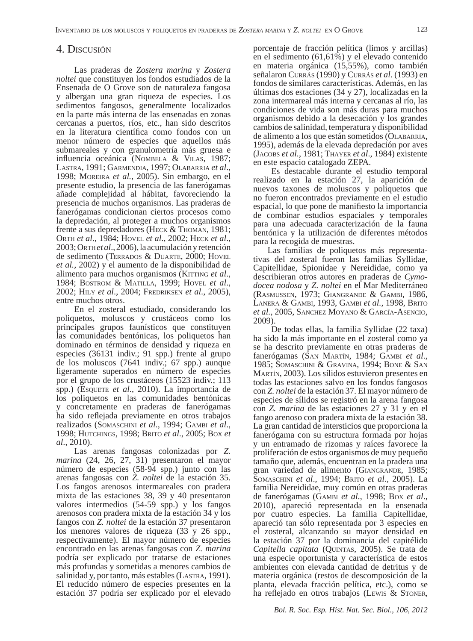## 4. DISCUSIÓN

Las praderas de *Zostera marina* y *Zostera noltei* que constituyen los fondos estudiados de la Ensenada de O Grove son de naturaleza fangosa y albergan una gran riqueza de especies. Los sedimentos fangosos, generalmente localizados en la parte más interna de las ensenadas en zonas cercanas a puertos, ríos, etc., han sido descritos en la literatura científica como fondos con un menor número de especies que aquellos más submareales y con granulometría más gruesa e influencia oceánica (Nombela & VILAS, 1987; LASTRA, 1991; GARMENDIA, 1997; OLABARRIA *et al*., 1998; MOREIRA *et al.*, 2005). Sin embargo, en el presente estudio, la presencia de las fanerógamas añade complejidad al hábitat, favoreciendo la presencia de muchos organismos. Las praderas de fanerógamas condicionan ciertos procesos como la depredación, al proteger a muchos organismos frente a sus depredadores (HECK & THOMAN, 1981; ORTH *et al*., 1984; HOVEL *et al*., 2002; HECK *et al*., 2003; ORTH *et al*., 2006), la acumulación y retención de sedimento (TERRADOS & DUARTE, 2000; HOVEL *et al.,* 2002) y el aumento de la disponibilidad de alimento para muchos organismos (KITTING *et al*., 1984; BOSTROM & MATILLA, 1999; HOVEL *et al*., 2002; HILY *et al*., 2004; FREDRIKSEN *et al*., 2005), entre muchos otros.

En el zosteral estudiado, considerando los poliquetos, moluscos y crustáceos como los principales grupos faunísticos que constituyen las comunidades bentónicas, los poliquetos han dominado en términos de densidad y riqueza en especies (36131 indiv.; 91 spp.) frente al grupo de los moluscos (7641 indiv.; 67 spp.) aunque ligeramente superados en número de especies por el grupo de los crustáceos (15523 indiv.; 113 spp.) (ESQUETE *et al*., 2010). La importancia de los poliquetos en las comunidades bentónicas y concretamente en praderas de fanerógamas ha sido reflejada previamente en otros trabajos realizados (SOMASCHINI *et al*., 1994; GAMBI *et al*., 1998; HUTCHINGS, 1998; BRITO *et al*., 2005; BOX *et al*., 2010).

Las arenas fangosas colonizadas por *Z. marina* (24, 26, 27, 31) presentaron el mayor número de especies (58-94 spp.) junto con las arenas fangosas con *Z. noltei* de la estación 35. Los fangos arenosos intermareales con pradera mixta de las estaciones 38, 39 y 40 presentaron valores intermedios (54-59 spp.) y los fangos arenosos con pradera mixta de la estación 34 y los fangos con *Z. noltei* de la estación 37 presentaron los menores valores de riqueza (33 y 26 spp., respectivamente). El mayor número de especies encontrado en las arenas fangosas con *Z. marina* podría ser explicado por tratarse de estaciones más profundas y sometidas a menores cambios de salinidad y, por tanto, más estables (LASTRA, 1991). El reducido número de especies presentes en la estación 37 podría ser explicado por el elevado

porcentaje de fracción pelítica (limos y arcillas) en el sedimento (61,61%) y el elevado contenido en materia orgánica (15,55%), como también señalaron CURRÁS (1990) y CURRÁS *et al*. (1993) en fondos de similares características. Además, en las últimas dos estaciones (34 y 27), localizadas en la zona intermareal más interna y cercanas al río, las condiciones de vida son más duras para muchos organismos debido a la desecación y los grandes cambios de salinidad, temperatura y disponibilidad de alimento a los que están sometidos (OLABARRIA, 1995), además de la elevada depredación por aves (JACOBS *et al.*, 1981; THAYER *et al*., 1984) existente en este espacio catalogado ZEPA.

Es destacable durante el estudio temporal realizado en la estación 27, la aparición de nuevos taxones de moluscos y poliquetos que no fueron encontrados previamente en el estudio espacial, lo que pone de manifiesto la importancia de combinar estudios espaciales y temporales para una adecuada caracterización de la fauna bentónica y la utilización de diferentes métodos para la recogida de muestras.

Las familias de poliquetos más representativas del zosteral fueron las familias Syllidae, Capitellidae, Spionidae y Nereididae, como ya describieran otros autores en praderas de *Cymodocea nodosa* y *Z. noltei* en el Mar Mediterráneo (RASMUSSEN, 1973; GIANGRANDE & GAMBI, 1986, LANERA & GAMBI, 1993, GAMBI *et al.,* 1998, BRITO *et al.,* 2005, SANCHEZ MOYANO & GARCÍA-ASENCIO, 2009).

De todas ellas, la familia Syllidae (22 taxa) ha sido la más importante en el zosteral como ya se ha descrito previamente en otras praderas de fanerógamas (SAN MARTÍN, 1984; GAMBI *et al*., 1985; SOMASCHINI & GRAVINA, 1994; BONE & SAN MARTÍN, 2003). Los sílidos estuvieron presentes en todas las estaciones salvo en los fondos fangosos con *Z. noltei* de la estación 37. El mayor número de especies de sílidos se registró en la arena fangosa con *Z. marina* de las estaciones 27 y 31 y en el fango arenoso con pradera mixta de la estación 38. La gran cantidad de intersticios que proporciona la fanerógama con su estructura formada por hojas y un entramado de rizomas y raíces favorece la proliferación de estos organismos de muy pequeño tamaño que, además, encuentran en la pradera una gran variedad de alimento (GIANGRANDE, 1985; SOMASCHINI *et al*., 1994; BRITO *et al*., 2005). La familia Nereididae, muy común en otras praderas de fanerógamas (GAMBI *et al*., 1998; BOX *et al*., 2010), apareció representada en la ensenada por cuatro especies. La familia Capitellidae, apareció tan sólo representada por 3 especies en el zosteral, alcanzando su mayor densidad en la estación 37 por la dominancia del capitélido *Capitella capitata* (QUINTAS, 2005). Se trata de una especie oportunista y característica de estos ambientes con elevada cantidad de detritus y de materia orgánica (restos de descomposición de la planta, elevada fracción pelítica, etc.), como se ha reflejado en otros trabajos (Lewis & STONER,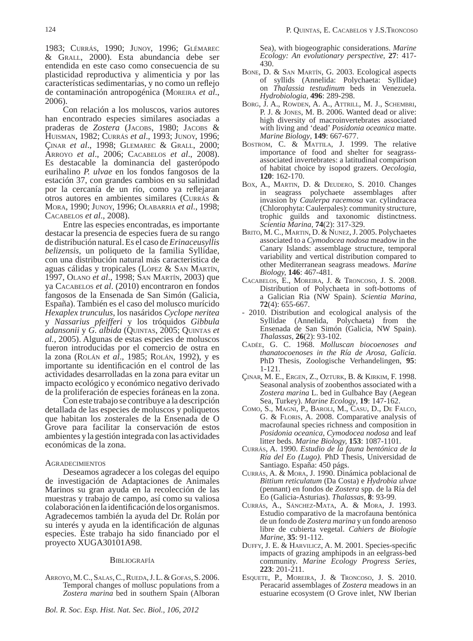1983; CURRÁS, 1990; JUNOY, 1996; GLÉMAREC & GRALL, 2000). Esta abundancia debe ser entendida en este caso como consecuencia de su plasticidad reproductiva y alimenticia y por las características sedimentarias, y no como un reflejo de contaminación antropogénica (MOREIRA *et al*., 2006).

Con relación a los moluscos, varios autores han encontrado especies similares asociadas a praderas de *Zostera* (JACOBS, 1980; JACOBS & HUISMAN, 1982; CURRÁS *et al*., 1993; JUNOY, 1996; ÇINAR *et al*., 1998; GLEMAREC & GRALL, 2000; ARROYO *et al*., 2006; CACABELOS *et al*., 2008). Es destacable la dominancia del gasterópodo eurihalino *P. ulvae* en los fondos fangosos de la estación 37, con grandes cambios en su salinidad por la cercanía de un río, como ya reflejaran otros autores en ambientes similares (CURRÁS & MORA, 1990; JUNOY, 1996; OLABARRIA *et al*., 1998; CACABELOS *et al*., 2008).

Entre las especies encontradas, es importante destacar la presencia de especies fuera de su rango de distribución natural. Es el caso de *Erinaceusyllis belizensis*, un poliqueto de la familia Syllidae, con una distribución natural más característica de aguas cálidas y tropicales (LÓPEZ & SAN MARTÍN, 1997, OLANO *et al*., 1998; SAN MARTÍN, 2003) que ya CACABELOS *et al*. (2010) encontraron en fondos fangosos de la Ensenada de San Simón (Galicia, España). También es el caso del molusco murícido *Hexaplex trunculus*, los nasáridos *Cyclope neritea* y *Nassarius pfeifferi* y los tróquidos *Gibbula adansonii* y *G. albida* (QUINTAS, 2005; QUINTAS *et al.,* 2005). Algunas de estas especies de moluscos fueron introducidas por el comercio de ostra en la zona (ROLÁN *et al*., 1985; ROLÁN, 1992), y es importante su identificación en el control de las actividades desarrolladas en la zona para evitar un impacto ecológico y económico negativo derivado de la proliferación de especies foráneas en la zona.

Con este trabajo se contribuye a la descripción detallada de las especies de moluscos y poliquetos que habitan los zosterales de la Ensenada de O Grove para facilitar la conservación de estos ambientes y la gestión integrada con las actividades económicas de la zona.

#### AGRADECIMIENTOS

Deseamos agradecer a los colegas del equipo de investigación de Adaptaciones de Animales Marinos su gran ayuda en la recolección de las muestras y trabajo de campo, así como su valiosa colaboración en la identificación de los organismos. Agradecemos también la ayuda del Dr. Rolán por su interés y ayuda en la identificación de algunas especies. Este trabajo ha sido financiado por el proyecto XUGA30101A98.

#### **BIBLIOGRAFÍA**

ARROYO, M. C., SALAS, C., RUEDA, J. L. & GOFAS, S. 2006. Temporal changes of mollusc populations from a *Zostera marina* bed in southern Spain (Alboran

Sea), with biogeographic considerations. *Marine Ecology: An evolutionary perspective,* **27**: 417- 430.

- BONE, D. & SAN MARTÍN, G. 2003. Ecological aspects of syllids (Annelida: Polychaeta: Syllidae) on *Thalassia testudinum* beds in Venezuela. *Hydrobiologia,* **496**: 289-298.
- BORG, J. A., ROWDEN, A. A., ATTRILL, M. J., SCHEMBRI, P. J. & JONES, M. B. 2006. Wanted dead or alive: high diversity of macroinvertebrates associated with living and 'dead' *Posidonia oceanica* matte. *Marine Biology*, **149**: 667-677.
- BOSTROM, C. & MATTILA, J. 1999. The relative importance of food and shelter for seagrassassociated invertebrates: a latitudinal comparison of habitat choice by isopod grazers. *Oecologia,* **120**: 162-170.
- BOX, A., MARTIN, D. & DEUDERO, S. 2010. Changes in seagrass polychaete assemblages after invasion by *Caulerpa racemosa* var. cylindracea (Chlorophyta: Caulerpales): community structure, trophic guilds and taxonomic distinctness. *Scientia Marina,* **74**(2): 317-329.
- BRITO, M. C., MARTIN, D. & NUNEZ, J. 2005. Polychaetes associated to a *Cymodocea nodosa* meadow in the Canary Islands: assemblage structure, temporal variability and vertical distribution compared to other Mediterranean seagrass meadows. *Marine Biology,* **146**: 467-481.
- CACABELOS, E., MOREIRA, J. & TRONCOSO, J. S. 2008. Distribution of Polychaeta in soft-bottoms of a Galician Ria (NW Spain). *Scientia Marina,* **72**(4): 655-667.
- 2010. Distribution and ecological analysis of the Syllidae (Annelida, Polychaeta) from the Ensenada de San Simón (Galicia, NW Spain). *Thalassas,* **26**(2): 93-102.
- CADÉE, G. C. 1968. *Molluscan biocoenoses and thanatocoenoses in the Ría de Arosa, Galicia.* PhD Thesis, Zoologische Verhandelingen, **95**: 1-121.
- ÇINAR, M. E., ERGEN, Z., OZTURK, B. & KIRKIM, F. 1998. Seasonal analysis of zoobenthos associated with a *Zostera marina* L. bed in Gulbahce Bay (Aegean Sea, Turkey). *Marine Ecology*, **19**: 147-162.
- COMO, S., MAGNI, P., BAROLI, M., CASU, D., DE FALCO, G. & FLORIS, A. 2008. Comparative analysis of macrofaunal species richness and composition in *Posidonia oceanica*, *Cymodocea nodosa* and leaf litter beds. *Marine Biology,* **153**: 1087-1101.
- CURRÁS, A. 1990. *Estudio de la fauna bentónica de la Ría del Eo (Lugo).* PhD Thesis, Universidad de Santiago. España: 450 págs.
- CURRÁS, A. & MORA, J. 1990. Dinámica poblacional de *Bittium reticulatum* (Da Costa) e *Hydrobia ulvae* (pennant) en fondos de *Zostera* spp. de la Ría del Eo (Galicia-Asturias). *Thalassas*, **8**: 93-99.
- CURRÁS, A., SÁNCHEZ-MATA, A. & MORA, J. 1993. Estudio comparativo de la macrofauna bentónica de un fondo de *Zostera marina* y un fondo arenoso libre de cubierta vegetal. *Cahiers de Biologie Marine*, **35**: 91-112.
- DUFFY, J. E. & HARVILICZ, A. M. 2001. Species-specific impacts of grazing amphipods in an eelgrass-bed community. *Marine Ecology Progress Series,* **223**: 201-211.
- ESQUETE, P., MOREIRA, J. & TRONCOSO, J. S. 2010. Peracarid assemblages of *Zostera* meadows in an estuarine ecosystem (O Grove inlet, NW Iberian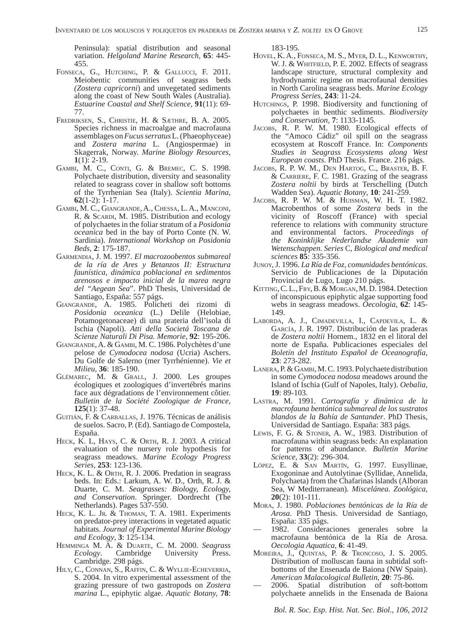Peninsula): spatial distribution and seasonal variation. *Helgoland Marine Research,* **65**: 445- 455.

- FONSECA, G., HUTCHING, P. & GALLUCCI, F. 2011. Meiobentic communities of seagrass beds *(Zostera capricorni*) and unvegetated sediments along the coast of New South Wales (Australia). *Estuarine Coastal and Shelf Science,* **91**(11): 69- 77.
- FREDRIKSEN, S., CHRISTIE, H. & SÆTHRE, B. A. 2005. Species richness in macroalgae and macrofauna assemblages on *Fucus serratus* L. (Phaeophyceae) and *Zostera marina* L. (Angiospermae) in Skagerrak, Norway. *Marine Biology Resources,* **1**(1): 2-19.
- GAMBI, M. C., CONTI, G. & BREMEC, C. S. 1998. Polychaete distribution, diversity and seasonality related to seagrass cover in shallow soft bottoms of the Tyrrhenian Sea (Italy). *Scientia Marina*, **62**(1-2): 1-17.
- GAMBI, M. C., GIANGRANDE, A., CHESSA, L. A., MANCONI, R. & SCARDI, M. 1985. Distribution and ecology of polychaetes in the foliar stratum of a *Posidonia oceanica* bed in the bay of Porto Conte (N. W. Sardinia). *International Workshop on Posidonia Beds,* **2**: 175-187.
- GARMENDIA, J. M. 1997. *El macrozoobentos submareal de la ría de Ares y Betanzos II: Estructura faunística, dinámica poblacional en sedimentos arenosos e impacto inicial de la marea negra del "Aegean Sea*". PhD Thesis, Universidad de Santiago, España: 557 págs.
- GIANGRANDE, A. 1985. Policheti dei rizomi di *Posidonia oceanica* (L.) Delile (Helobiae, Potamogetonaceae) di una prateria dell'isola di Ischia (Napoli). *Atti della Societá Toscana de Scienze Naturali Di Pisa. Memorie*, **92**: 195-206.
- GIANGRANDE, A. & GAMBI, M. C. 1986. Polychètes d'une pelose de *Cymodocea nodosa* (Ucria) Aschers. Du Golfe de Salerno (mer Tyrrhénienne). *Vie et Milieu,* **36**: 185-190.
- GLÉMAREC, M. & GRALL, J. 2000. Les groupes écologiques et zoologiques d'invertébrés marins face aux dégradations de l'environnement côtier. *Bulletin de la Société Zoologique de France*, **125**(1): 37-48.
- GUITIÁN, F. & CARBALLAS, J. 1976. Técnicas de análisis de suelos. Sacro, P. (Ed). Santiago de Compostela, España.
- HECK, K. L, HAYS, C. & ORTH, R. J. 2003. A critical evaluation of the nursery role hypothesis for seagrass meadows. *Marine Ecology Progress Series,* **253**: 123-136.
- HECK, K. L. & ORTH, R. J. 2006. Predation in seagrass beds. In: Eds.: Larkum, A. W. D., Orth, R. J. & Duarte, C. M. *Seagrasses: Biology, Ecology, and Conservation*. Springer. Dordrecht (The Netherlands). Pages 537-550.
- HECK, K. L. Jr. & THOMAN, T. A. 1981. Experiments on predator-prey interactions in vegetated aquatic habitats. *Journal of Experimental Marine Biology and Ecology*, **3**: 125-134.
- HEMMINGA M. A. & DUARTE, C. M. 2000. *Seagrass Ecology*. Cambridge University Press. Cambridge. 298 págs.
- HILY, C., CONNAN, S., RAFFIN, C. & WYLLIE-ECHEVERRIA, S. 2004. In vitro experimental assessment of the grazing pressure of two gastropods on *Zostera marina* L., epiphytic algae. *Aquatic Botany,* **78**:

183-195.

- HOVEL, K. A., FONSECA, M. S., MYER, D. L., KENWORTHY, W. J. & WHITFIELD, P. E. 2002. Effects of seagrass landscape structure, structural complexity and hydrodynamic regime on macrofaunal densities in North Carolina seagrass beds. *Marine Ecology Progress Series*, **243**: 11-24.
- HUTCHINGS, P. 1998. Biodiversity and functioning of polychaetes in benthic sediments. *Biodiversity and Conservation,* **7**: 1133-1145.
- JACOBS, R. P. W. M. 1980. Ecological effects of the "Amoco Cádiz" oil spill on the seagrass ecosystem at Roscoff France. In: *Components Studies in Seagrass Ecosystems along West European coasts*. PhD Thesis. France. 216 págs.
- JACOBS, R. P. W. M., DEN HARTOG, C., BRASTER, B. F. & CARRIERE, F. C. 1981. Grazing of the seagrass *Zostera noltii* by birds at Terschelling (Dutch Wadden Sea). *Aquatic Botany*, **10**: 241-259.
- JACOBS, R. P. W. M. & HUISMAN, W. H. T. 1982. Macrobenthos of some *Zostera* beds in the vicinity of Roscoff (France) with special reference to relations with community structure and environmental factors. *Proceedings of the Koninklijke Nederlandse Akademie van Wetenschappen. Series* C, *Biological and medical sciences* **85**: 335-356.
- JUNOY, J. 1996. *La Ría de Foz, comunidades bentónicas*. Servicio de Publicaciones de la Diputación Provincial de Lugo, Lugo 210 págs.
- KITTING, C. L., FRY, B. & MORGAN, M. D. 1984. Detection of inconspicuous epiphytic algae supporting food webs in seagrass meadows. *Oecologia*, **62**: 145- 149.
- LABORDA, A. J., CIMADEVILLA, I., CAPDEVILA, L. & GARCÍA, J. R. 1997. Distribución de las praderas de *Zostera noltii* Hornem., 1832 en el litoral del norte de España. Publicaciones especiales del *Boletín del Instituto Español de Oceanografía*, **23**: 273-282.
- LANERA, P. & GAMBI, M. C. 1993. Polychaete distribution in some *Cymodocea nodosa* meadows around the Island of Ischia (Gulf of Napoles, Italy). *Oebalia*, **19**: 89-103.
- LASTRA, M. 1991. *Cartografía y dinámica de la macrofauna bentónica submareal de los sustratos blandos de la Bahía de Santander*. PhD Thesis, Universidad de Santiago. España: 383 págs.
- LEWIS, F. G. & STONER, A. W., 1983. Distribution of macrofauna within seagrass beds: An explanation for patterns of abundance. *Bulletin Marine Science*, **33**(2): 296-304.
- LÓPEZ, E. & SAN MARTÍN, G. 1997. Eusyllinae, Exogoninae and Autolytinae (Syllidae, Annelida, Polychaeta) from the Chafarinas lslands (Alboran Sea, W Mediterranean)*. Miscelánea. Zoológica,* **20**(2): 101-111.
- MORA, J. 1980. *Poblaciones bentónicas de la Ría de Arosa*. PhD Thesis. Universidad de Santiago, España: 335 págs.
- 1982. Consideraciones generales sobre la macrofauna bentónica de la Ría de Arosa. *Oecologia Aquatica,* **6**: 41-49.
- MOREIRA, J., QUINTAS, P. & TRONCOSO, J. S. 2005. Distribution of molluscan fauna in subtidal softbottoms of the Ensenada de Baiona (NW Spain). *American Malacological Bulletin*, **20**: 75-86.
- 2006. Spatial distribution of soft-bottom polychaete annelids in the Ensenada de Baiona